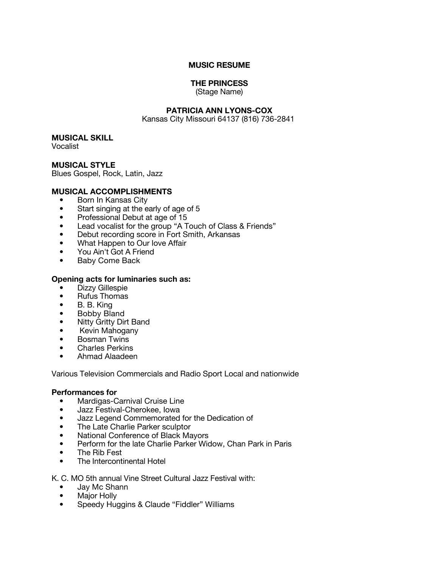### **MUSIC RESUME**

## **THE PRINCESS**

(Stage Name)

# **PATRICIA ANN LYONS-COX**

Kansas City Missouri 64137 (816) 736-2841

### **MUSICAL SKILL**

Vocalist

## **MUSICAL STYLE**

Blues Gospel, Rock, Latin, Jazz

### **MUSICAL ACCOMPLISHMENTS**

- Born In Kansas City
- Start singing at the early of age of 5
- Professional Debut at age of 15
- Lead vocalist for the group "A Touch of Class & Friends"
- Debut recording score in Fort Smith, Arkansas
- What Happen to Our love Affair
- You Ain't Got A Friend
- Baby Come Back

#### **Opening acts for luminaries such as:**

- Dizzy Gillespie
- Rufus Thomas
- B. B. King
- Bobby Bland
- Nitty Gritty Dirt Band
- Kevin Mahogany
- Bosman Twins
- Charles Perkins
- Ahmad Alaadeen

Various Television Commercials and Radio Sport Local and nationwide

#### **Performances for**

- Mardigas-Carnival Cruise Line
- Jazz Festival-Cherokee, Iowa
- Jazz Legend Commemorated for the Dedication of
- The Late Charlie Parker sculptor
- National Conference of Black Mayors
- Perform for the late Charlie Parker Widow, Chan Park in Paris
- The Rib Fest
- The Intercontinental Hotel

### K. C. MO 5th annual Vine Street Cultural Jazz Festival with:

- Jay Mc Shann
- Major Holly
- Speedy Huggins & Claude "Fiddler" Williams